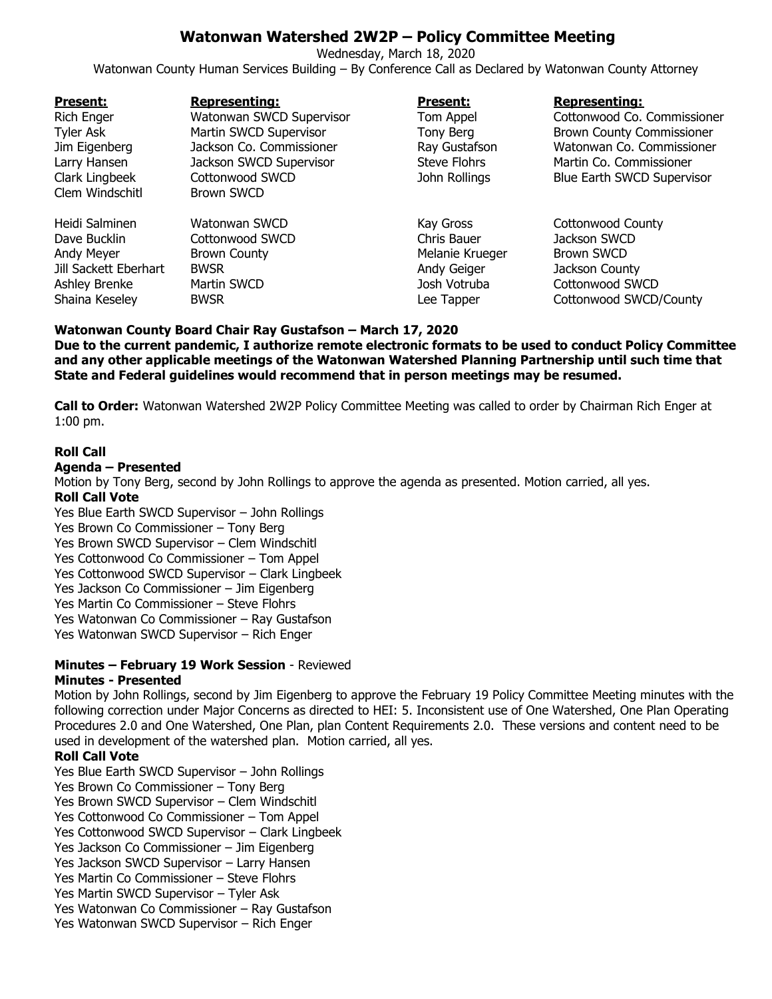# **Watonwan Watershed 2W2P – Policy Committee Meeting**

Wednesday, March 18, 2020 Watonwan County Human Services Building – By Conference Call as Declared by Watonwan County Attorney

| <b>Present:</b>       | <b>Representing:</b>     | <b>Present:</b>     | <b>Representing:</b>              |
|-----------------------|--------------------------|---------------------|-----------------------------------|
| <b>Rich Enger</b>     | Watonwan SWCD Supervisor | Tom Appel           | Cottonwood Co. Commissioner       |
| <b>Tyler Ask</b>      | Martin SWCD Supervisor   | Tony Berg           | <b>Brown County Commissioner</b>  |
| Jim Eigenberg         | Jackson Co. Commissioner | Ray Gustafson       | Watonwan Co. Commissioner         |
| Larry Hansen          | Jackson SWCD Supervisor  | <b>Steve Flohrs</b> | Martin Co. Commissioner           |
| Clark Lingbeek        | Cottonwood SWCD          | John Rollings       | <b>Blue Earth SWCD Supervisor</b> |
| Clem Windschitl       | <b>Brown SWCD</b>        |                     |                                   |
| Heidi Salminen        | Watonwan SWCD            | Kay Gross           | <b>Cottonwood County</b>          |
| Dave Bucklin          | Cottonwood SWCD          | Chris Bauer         | Jackson SWCD                      |
| Andy Meyer            | <b>Brown County</b>      | Melanie Krueger     | <b>Brown SWCD</b>                 |
| Jill Sackett Eberhart | <b>BWSR</b>              | Andy Geiger         | Jackson County                    |
| Ashley Brenke         | Martin SWCD              | Josh Votruba        | Cottonwood SWCD                   |
| Shaina Keseley        | <b>BWSR</b>              | Lee Tapper          | Cottonwood SWCD/County            |

**Watonwan County Board Chair Ray Gustafson – March 17, 2020**

**Due to the current pandemic, I authorize remote electronic formats to be used to conduct Policy Committee and any other applicable meetings of the Watonwan Watershed Planning Partnership until such time that State and Federal guidelines would recommend that in person meetings may be resumed.**

**Call to Order:** Watonwan Watershed 2W2P Policy Committee Meeting was called to order by Chairman Rich Enger at 1:00 pm.

# **Roll Call**

#### **Agenda – Presented**

Motion by Tony Berg, second by John Rollings to approve the agenda as presented. Motion carried, all yes. **Roll Call Vote**

Yes Blue Earth SWCD Supervisor – John Rollings Yes Brown Co Commissioner – Tony Berg Yes Brown SWCD Supervisor – Clem Windschitl Yes Cottonwood Co Commissioner – Tom Appel Yes Cottonwood SWCD Supervisor – Clark Lingbeek Yes Jackson Co Commissioner – Jim Eigenberg Yes Martin Co Commissioner – Steve Flohrs Yes Watonwan Co Commissioner – Ray Gustafson Yes Watonwan SWCD Supervisor – Rich Enger

#### **Minutes – February 19 Work Session** - Reviewed **Minutes - Presented**

Motion by John Rollings, second by Jim Eigenberg to approve the February 19 Policy Committee Meeting minutes with the following correction under Major Concerns as directed to HEI: 5. Inconsistent use of One Watershed, One Plan Operating Procedures 2.0 and One Watershed, One Plan, plan Content Requirements 2.0. These versions and content need to be used in development of the watershed plan. Motion carried, all yes.

# **Roll Call Vote**

Yes Blue Earth SWCD Supervisor – John Rollings Yes Brown Co Commissioner – Tony Berg Yes Brown SWCD Supervisor – Clem Windschitl Yes Cottonwood Co Commissioner – Tom Appel Yes Cottonwood SWCD Supervisor – Clark Lingbeek Yes Jackson Co Commissioner – Jim Eigenberg Yes Jackson SWCD Supervisor – Larry Hansen Yes Martin Co Commissioner – Steve Flohrs Yes Martin SWCD Supervisor – Tyler Ask Yes Watonwan Co Commissioner – Ray Gustafson Yes Watonwan SWCD Supervisor – Rich Enger